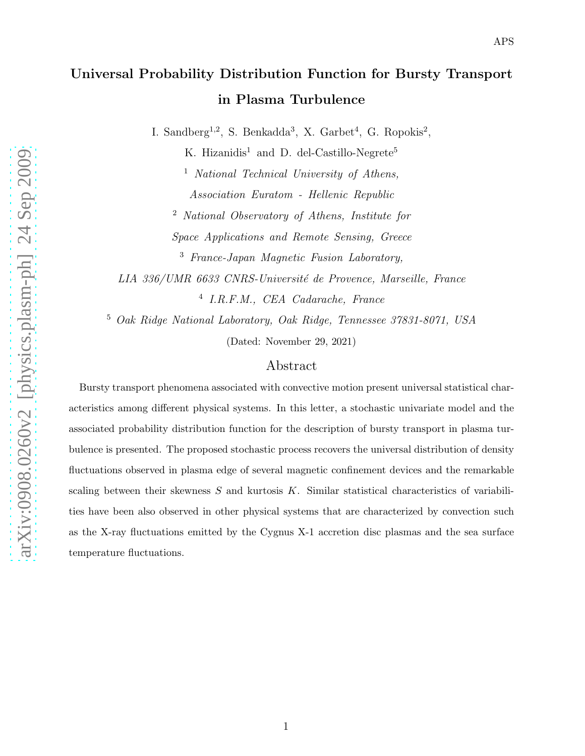I. Sandberg<sup>1,2</sup>, S. Benkadda<sup>3</sup>, X. Garbet<sup>4</sup>, G. Ropokis<sup>2</sup>,

K. Hizanidis<sup>1</sup> and D. del-Castillo-Negrete<sup>5</sup>

<sup>1</sup> National Technical University of Athens, Association Euratom - Hellenic Republic

<sup>2</sup> National Observatory of Athens, Institute for Space Applications and Remote Sensing, Greece

<sup>3</sup> France-Japan Magnetic Fusion Laboratory,

LIA 336/UMR 6633 CNRS-Université de Provence, Marseille, France 4 I.R.F.M., CEA Cadarache, France

<sup>5</sup> Oak Ridge National Laboratory, Oak Ridge, Tennessee 37831-8071, USA

(Dated: November 29, 2021)

## Abstract

Bursty transport phenomena associated with convective motion present universal statistical characteristics among different physical systems. In this letter, a stochastic univariate model and the associated probability distribution function for the description of bursty transport in plasma turbulence is presented. The proposed stochastic process recovers the universal distribution of density fluctuations observed in plasma edge of several magnetic confinement devices and the remarkable scaling between their skewness  $S$  and kurtosis  $K$ . Similar statistical characteristics of variabilities have been also observed in other physical systems that are characterized by convection such as the X-ray fluctuations emitted by the Cygnus X-1 accretion disc plasmas and the sea surface temperature fluctuations.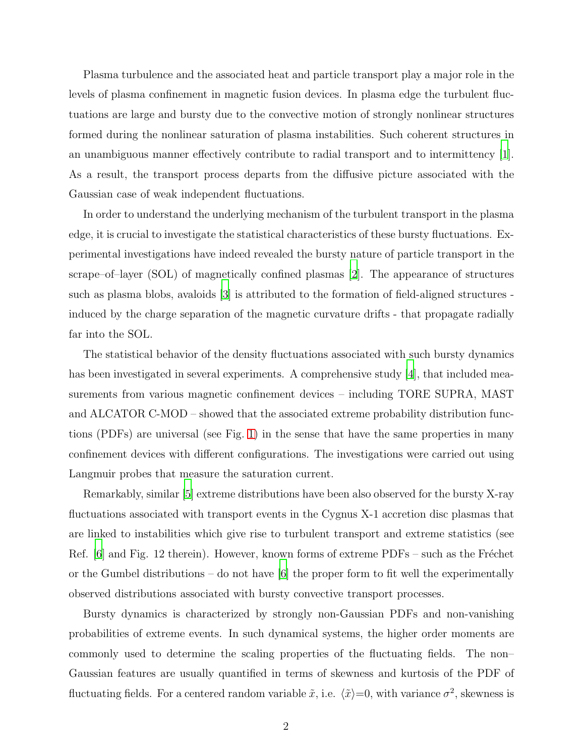Plasma turbulence and the associated heat and particle transport play a major role in the levels of plasma confinement in magnetic fusion devices. In plasma edge the turbulent fluctuations are large and bursty due to the convective motion of strongly nonlinear structures formed during the nonlinear saturation of plasma instabilities. Such coherent structures in an unambiguous manner effectively contribute to radial transport and to intermittency [\[1\]](#page-9-0). As a result, the transport process departs from the diffusive picture associated with the Gaussian case of weak independent fluctuations.

In order to understand the underlying mechanism of the turbulent transport in the plasma edge, it is crucial to investigate the statistical characteristics of these bursty fluctuations. Experimental investigations have indeed revealed the bursty nature of particle transport in the scrape–of–layer (SOL) of magnetically confined plasmas [\[2](#page-9-1)]. The appearance of structures such as plasma blobs, avaloids [\[3](#page-9-2)] is attributed to the formation of field-aligned structures induced by the charge separation of the magnetic curvature drifts - that propagate radially far into the SOL.

The statistical behavior of the density fluctuations associated with such bursty dynamics has been investigated in several experiments. A comprehensive study [\[4](#page-9-3)], that included measurements from various magnetic confinement devices – including TORE SUPRA, MAST and ALCATOR C-MOD – showed that the associated extreme probability distribution functions (PDFs) are universal (see Fig. [1\)](#page-2-0) in the sense that have the same properties in many confinement devices with different configurations. The investigations were carried out using Langmuir probes that measure the saturation current.

Remarkably, similar [\[5\]](#page-9-4) extreme distributions have been also observed for the bursty X-ray fluctuations associated with transport events in the Cygnus X-1 accretion disc plasmas that are linked to instabilities which give rise to turbulent transport and extreme statistics (see Ref.  $[6]$  and Fig. 12 therein). However, known forms of extreme PDFs – such as the Fréchet or the Gumbel distributions – do not have  $[6]$  the proper form to fit well the experimentally observed distributions associated with bursty convective transport processes.

Bursty dynamics is characterized by strongly non-Gaussian PDFs and non-vanishing probabilities of extreme events. In such dynamical systems, the higher order moments are commonly used to determine the scaling properties of the fluctuating fields. The non– Gaussian features are usually quantified in terms of skewness and kurtosis of the PDF of fluctuating fields. For a centered random variable  $\tilde{x}$ , i.e.  $\langle \tilde{x} \rangle = 0$ , with variance  $\sigma^2$ , skewness is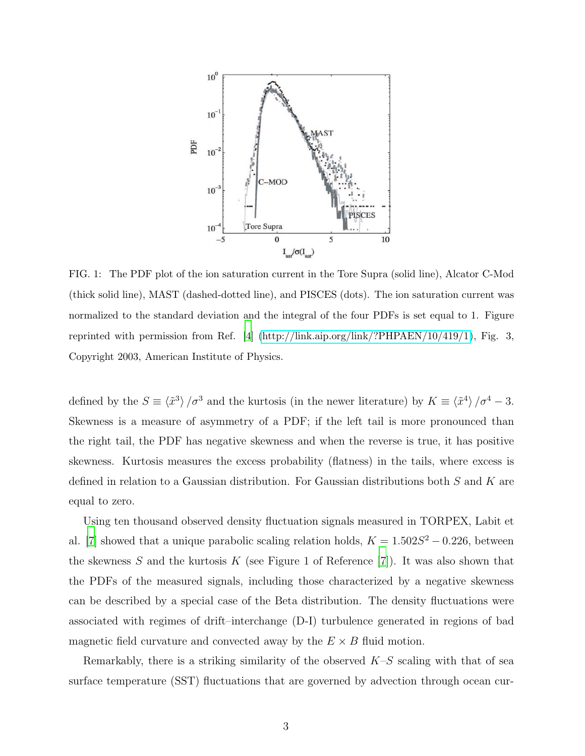

<span id="page-2-0"></span>FIG. 1: The PDF plot of the ion saturation current in the Tore Supra (solid line), Alcator C-Mod (thick solid line), MAST (dashed-dotted line), and PISCES (dots). The ion saturation current was normalized to the standard deviation and the integral of the four PDFs is set equal to 1. Figure reprinted with permission from Ref. [\[4\]](#page-9-3) [\(http://link.aip.org/link/?PHPAEN/10/419/1\)](http://link.aip.org/link/?PHPAEN/10/419/1), Fig. 3, Copyright 2003, American Institute of Physics.

defined by the  $S \equiv \langle \tilde{x}^3 \rangle / \sigma^3$  and the kurtosis (in the newer literature) by  $K \equiv \langle \tilde{x}^4 \rangle / \sigma^4 - 3$ . Skewness is a measure of asymmetry of a PDF; if the left tail is more pronounced than the right tail, the PDF has negative skewness and when the reverse is true, it has positive skewness. Kurtosis measures the excess probability (flatness) in the tails, where excess is defined in relation to a Gaussian distribution. For Gaussian distributions both S and K are equal to zero.

Using ten thousand observed density fluctuation signals measured in TORPEX, Labit et al. [\[7\]](#page-9-6) showed that a unique parabolic scaling relation holds,  $K = 1.502S^2 - 0.226$ , between the skewness  $S$  and the kurtosis  $K$  (see Figure 1 of Reference [\[7](#page-9-6)]). It was also shown that the PDFs of the measured signals, including those characterized by a negative skewness can be described by a special case of the Beta distribution. The density fluctuations were associated with regimes of drift–interchange (D-I) turbulence generated in regions of bad magnetic field curvature and convected away by the  $E \times B$  fluid motion.

Remarkably, there is a striking similarity of the observed  $K-S$  scaling with that of sea surface temperature (SST) fluctuations that are governed by advection through ocean cur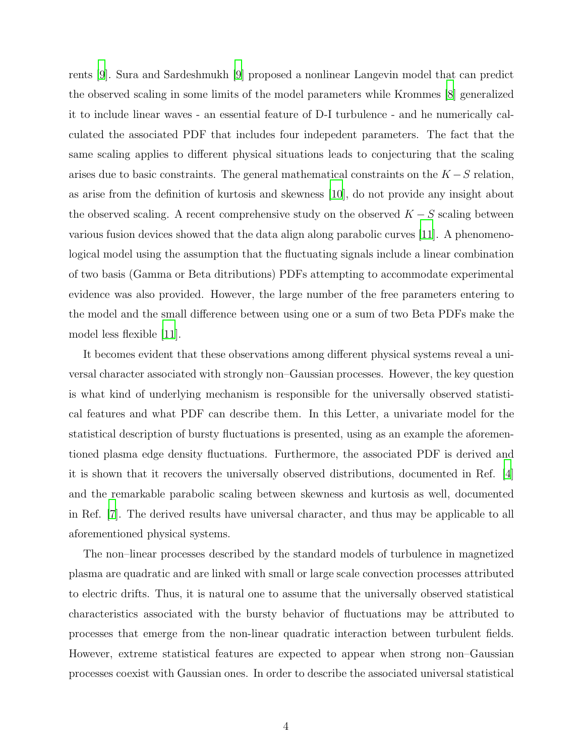rents [\[9](#page-9-7)]. Sura and Sardeshmukh [\[9\]](#page-9-7) proposed a nonlinear Langevin model that can predict the observed scaling in some limits of the model parameters while Krommes [\[8\]](#page-9-8) generalized it to include linear waves - an essential feature of D-I turbulence - and he numerically calculated the associated PDF that includes four indepedent parameters. The fact that the same scaling applies to different physical situations leads to conjecturing that the scaling arises due to basic constraints. The general mathematical constraints on the  $K-S$  relation, as arise from the definition of kurtosis and skewness [\[10\]](#page-9-9), do not provide any insight about the observed scaling. A recent comprehensive study on the observed  $K-S$  scaling between various fusion devices showed that the data align along parabolic curves [\[11\]](#page-9-10). A phenomenological model using the assumption that the fluctuating signals include a linear combination of two basis (Gamma or Beta ditributions) PDFs attempting to accommodate experimental evidence was also provided. However, the large number of the free parameters entering to the model and the small difference between using one or a sum of two Beta PDFs make the model less flexible [\[11](#page-9-10)].

It becomes evident that these observations among different physical systems reveal a universal character associated with strongly non–Gaussian processes. However, the key question is what kind of underlying mechanism is responsible for the universally observed statistical features and what PDF can describe them. In this Letter, a univariate model for the statistical description of bursty fluctuations is presented, using as an example the aforementioned plasma edge density fluctuations. Furthermore, the associated PDF is derived and it is shown that it recovers the universally observed distributions, documented in Ref. [\[4\]](#page-9-3) and the remarkable parabolic scaling between skewness and kurtosis as well, documented in Ref. [\[7\]](#page-9-6). The derived results have universal character, and thus may be applicable to all aforementioned physical systems.

The non–linear processes described by the standard models of turbulence in magnetized plasma are quadratic and are linked with small or large scale convection processes attributed to electric drifts. Thus, it is natural one to assume that the universally observed statistical characteristics associated with the bursty behavior of fluctuations may be attributed to processes that emerge from the non-linear quadratic interaction between turbulent fields. However, extreme statistical features are expected to appear when strong non–Gaussian processes coexist with Gaussian ones. In order to describe the associated universal statistical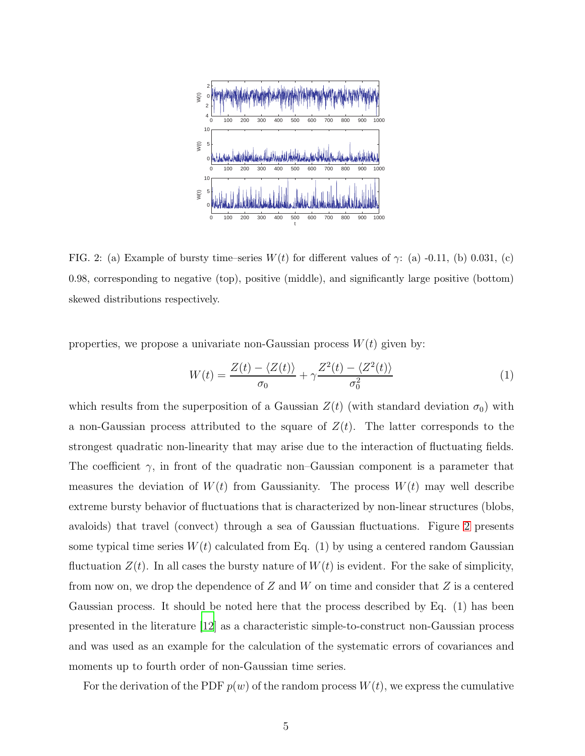

<span id="page-4-0"></span>FIG. 2: (a) Example of bursty time–series  $W(t)$  for different values of  $\gamma$ : (a) -0.11, (b) 0.031, (c) 0.98, corresponding to negative (top), positive (middle), and significantly large positive (bottom) skewed distributions respectively.

properties, we propose a univariate non-Gaussian process  $W(t)$  given by:

$$
W(t) = \frac{Z(t) - \langle Z(t) \rangle}{\sigma_0} + \gamma \frac{Z^2(t) - \langle Z^2(t) \rangle}{\sigma_0^2}
$$
(1)

which results from the superposition of a Gaussian  $Z(t)$  (with standard deviation  $\sigma_0$ ) with a non-Gaussian process attributed to the square of  $Z(t)$ . The latter corresponds to the strongest quadratic non-linearity that may arise due to the interaction of fluctuating fields. The coefficient  $\gamma$ , in front of the quadratic non–Gaussian component is a parameter that measures the deviation of  $W(t)$  from Gaussianity. The process  $W(t)$  may well describe extreme bursty behavior of fluctuations that is characterized by non-linear structures (blobs, avaloids) that travel (convect) through a sea of Gaussian fluctuations. Figure [2](#page-4-0) presents some typical time series  $W(t)$  calculated from Eq. (1) by using a centered random Gaussian fluctuation  $Z(t)$ . In all cases the bursty nature of  $W(t)$  is evident. For the sake of simplicity, from now on, we drop the dependence of  $Z$  and  $W$  on time and consider that  $Z$  is a centered Gaussian process. It should be noted here that the process described by Eq. (1) has been presented in the literature [\[12\]](#page-9-11) as a characteristic simple-to-construct non-Gaussian process and was used as an example for the calculation of the systematic errors of covariances and moments up to fourth order of non-Gaussian time series.

For the derivation of the PDF  $p(w)$  of the random process  $W(t)$ , we express the cumulative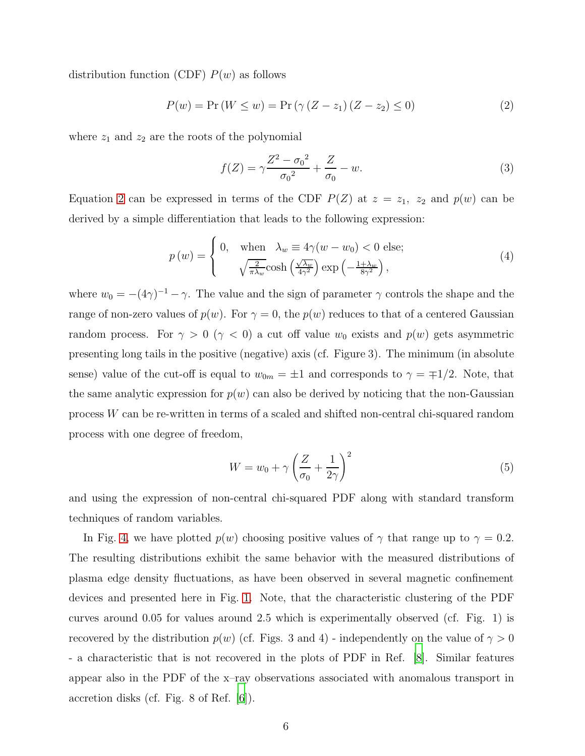distribution function (CDF)  $P(w)$  as follows

<span id="page-5-0"></span>
$$
P(w) = \Pr(W \le w) = \Pr(\gamma (Z - z_1) (Z - z_2) \le 0)
$$
\n(2)

where  $z_1$  and  $z_2$  are the roots of the polynomial

$$
f(Z) = \gamma \frac{Z^2 - {\sigma_0}^2}{{\sigma_0}^2} + \frac{Z}{\sigma_0} - w.
$$
 (3)

Equation [2](#page-5-0) can be expressed in terms of the CDF  $P(Z)$  at  $z = z_1$ ,  $z_2$  and  $p(w)$  can be derived by a simple differentiation that leads to the following expression:

$$
p(w) = \begin{cases} 0, & \text{when } \lambda_w \equiv 4\gamma(w - w_0) < 0 \text{ else;} \\ & \sqrt{\frac{2}{\pi\lambda_w}} \cosh\left(\frac{\sqrt{\lambda_w}}{4\gamma^2}\right) \exp\left(-\frac{1+\lambda_w}{8\gamma^2}\right), \end{cases}
$$
(4)

where  $w_0 = -(4\gamma)^{-1} - \gamma$ . The value and the sign of parameter  $\gamma$  controls the shape and the range of non-zero values of  $p(w)$ . For  $\gamma = 0$ , the  $p(w)$  reduces to that of a centered Gaussian random process. For  $\gamma > 0$  ( $\gamma < 0$ ) a cut off value  $w_0$  exists and  $p(w)$  gets asymmetric presenting long tails in the positive (negative) axis (cf. Figure 3). The minimum (in absolute sense) value of the cut-off is equal to  $w_{0m} = \pm 1$  and corresponds to  $\gamma = \mp 1/2$ . Note, that the same analytic expression for  $p(w)$  can also be derived by noticing that the non-Gaussian process W can be re-written in terms of a scaled and shifted non-central chi-squared random process with one degree of freedom,

$$
W = w_0 + \gamma \left(\frac{Z}{\sigma_0} + \frac{1}{2\gamma}\right)^2 \tag{5}
$$

and using the expression of non-central chi-squared PDF along with standard transform techniques of random variables.

In Fig. [4,](#page-6-0) we have plotted  $p(w)$  choosing positive values of  $\gamma$  that range up to  $\gamma = 0.2$ . The resulting distributions exhibit the same behavior with the measured distributions of plasma edge density fluctuations, as have been observed in several magnetic confinement devices and presented here in Fig. [1.](#page-2-0) Note, that the characteristic clustering of the PDF curves around 0.05 for values around 2.5 which is experimentally observed (cf. Fig. 1) is recovered by the distribution  $p(w)$  (cf. Figs. 3 and 4) - independently on the value of  $\gamma > 0$ - a characteristic that is not recovered in the plots of PDF in Ref. [\[8\]](#page-9-8). Similar features appear also in the PDF of the x–ray observations associated with anomalous transport in accretion disks (cf. Fig. 8 of Ref. [\[6](#page-9-5)]).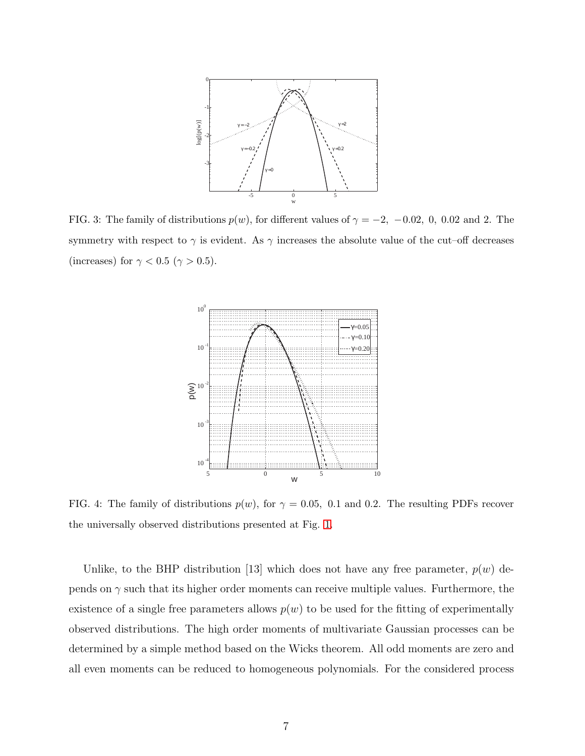

FIG. 3: The family of distributions  $p(w)$ , for different values of  $\gamma = -2$ ,  $-0.02$ , 0, 0.02 and 2. The symmetry with respect to  $\gamma$  is evident. As  $\gamma$  increases the absolute value of the cut–off decreases (increases) for  $\gamma < 0.5$   $(\gamma > 0.5).$ 



<span id="page-6-0"></span>FIG. 4: The family of distributions  $p(w)$ , for  $\gamma = 0.05$ , 0.1 and 0.2. The resulting PDFs recover the universally observed distributions presented at Fig. [1.](#page-2-0)

Unlike, to the BHP distribution [13] which does not have any free parameter,  $p(w)$  depends on  $\gamma$  such that its higher order moments can receive multiple values. Furthermore, the existence of a single free parameters allows  $p(w)$  to be used for the fitting of experimentally observed distributions. The high order moments of multivariate Gaussian processes can be determined by a simple method based on the Wicks theorem. All odd moments are zero and all even moments can be reduced to homogeneous polynomials. For the considered process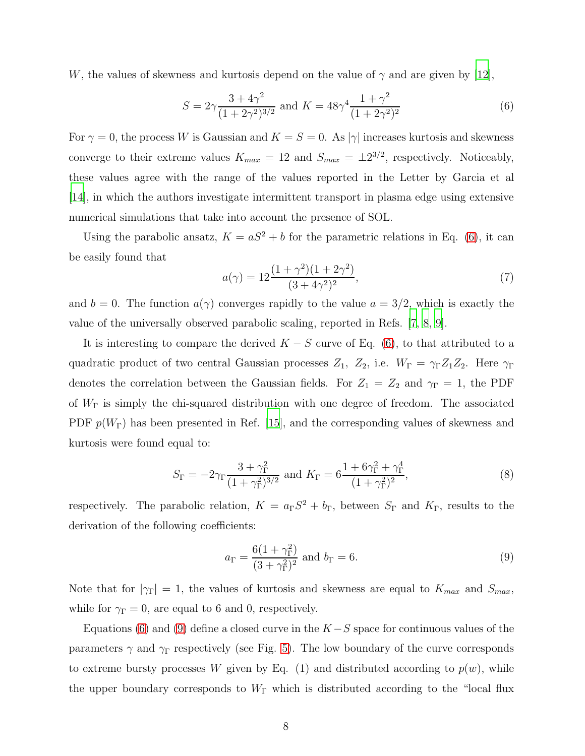W, the values of skewness and kurtosis depend on the value of  $\gamma$  and are given by [\[12](#page-9-11)],

<span id="page-7-0"></span>
$$
S = 2\gamma \frac{3 + 4\gamma^2}{(1 + 2\gamma^2)^{3/2}} \text{ and } K = 48\gamma^4 \frac{1 + \gamma^2}{(1 + 2\gamma^2)^2}
$$
 (6)

For  $\gamma = 0$ , the process W is Gaussian and  $K = S = 0$ . As  $|\gamma|$  increases kurtosis and skewness converge to their extreme values  $K_{max} = 12$  and  $S_{max} = \pm 2^{3/2}$ , respectively. Noticeably, these values agree with the range of the values reported in the Letter by Garcia et al [\[14\]](#page-9-12), in which the authors investigate intermittent transport in plasma edge using extensive numerical simulations that take into account the presence of SOL.

Using the parabolic ansatz,  $K = aS^2 + b$  for the parametric relations in Eq. [\(6\)](#page-7-0), it can be easily found that

$$
a(\gamma) = 12 \frac{(1+\gamma^2)(1+2\gamma^2)}{(3+4\gamma^2)^2},\tag{7}
$$

and  $b = 0$ . The function  $a(\gamma)$  converges rapidly to the value  $a = 3/2$ , which is exactly the value of the universally observed parabolic scaling, reported in Refs. [\[7,](#page-9-6) [8,](#page-9-8) [9\]](#page-9-7).

It is interesting to compare the derived  $K - S$  curve of Eq. [\(6\)](#page-7-0), to that attributed to a quadratic product of two central Gaussian processes  $Z_1$ ,  $Z_2$ , i.e.  $W_{\Gamma} = \gamma_{\Gamma} Z_1 Z_2$ . Here  $\gamma_{\Gamma}$ denotes the correlation between the Gaussian fields. For  $Z_1 = Z_2$  and  $\gamma_{\Gamma} = 1$ , the PDF of  $W_{\Gamma}$  is simply the chi-squared distribution with one degree of freedom. The associated PDF  $p(W_{\Gamma})$  has been presented in Ref. [\[15\]](#page-9-13), and the corresponding values of skewness and kurtosis were found equal to:

$$
S_{\Gamma} = -2\gamma_{\Gamma} \frac{3 + \gamma_{\Gamma}^2}{(1 + \gamma_{\Gamma}^2)^{3/2}} \text{ and } K_{\Gamma} = 6 \frac{1 + 6\gamma_{\Gamma}^2 + \gamma_{\Gamma}^4}{(1 + \gamma_{\Gamma}^2)^2},
$$
(8)

respectively. The parabolic relation,  $K = a_{\Gamma}S^2 + b_{\Gamma}$ , between  $S_{\Gamma}$  and  $K_{\Gamma}$ , results to the derivation of the following coefficients:

<span id="page-7-1"></span>
$$
a_{\Gamma} = \frac{6(1+\gamma_{\Gamma}^2)}{(3+\gamma_{\Gamma}^2)^2} \text{ and } b_{\Gamma} = 6.
$$
 (9)

Note that for  $|\gamma_{\Gamma}| = 1$ , the values of kurtosis and skewness are equal to  $K_{max}$  and  $S_{max}$ , while for  $\gamma_{\Gamma} = 0$ , are equal to 6 and 0, respectively.

Equations [\(6\)](#page-7-0) and [\(9\)](#page-7-1) define a closed curve in the  $K-S$  space for continuous values of the parameters  $\gamma$  and  $\gamma_{\Gamma}$  respectively (see Fig. [5\)](#page-8-0). The low boundary of the curve corresponds to extreme bursty processes W given by Eq. (1) and distributed according to  $p(w)$ , while the upper boundary corresponds to  $W_{\Gamma}$  which is distributed according to the "local flux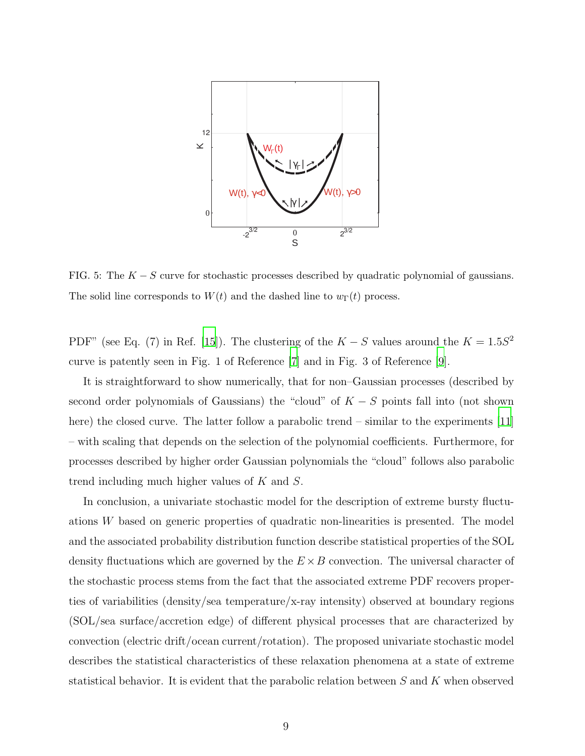

<span id="page-8-0"></span>FIG. 5: The  $K - S$  curve for stochastic processes described by quadratic polynomial of gaussians. The solid line corresponds to  $W(t)$  and the dashed line to  $w_{\Gamma}(t)$  process.

PDF" (see Eq. (7) in Ref. [\[15\]](#page-9-13)). The clustering of the  $K-S$  values around the  $K = 1.5S^2$ curve is patently seen in Fig. 1 of Reference [\[7\]](#page-9-6) and in Fig. 3 of Reference [\[9\]](#page-9-7).

It is straightforward to show numerically, that for non–Gaussian processes (described by second order polynomials of Gaussians) the "cloud" of  $K - S$  points fall into (not shown here) the closed curve. The latter follow a parabolic trend – similar to the experiments [\[11\]](#page-9-10) – with scaling that depends on the selection of the polynomial coefficients. Furthermore, for processes described by higher order Gaussian polynomials the "cloud" follows also parabolic trend including much higher values of K and S.

In conclusion, a univariate stochastic model for the description of extreme bursty fluctuations W based on generic properties of quadratic non-linearities is presented. The model and the associated probability distribution function describe statistical properties of the SOL density fluctuations which are governed by the  $E \times B$  convection. The universal character of the stochastic process stems from the fact that the associated extreme PDF recovers properties of variabilities (density/sea temperature/x-ray intensity) observed at boundary regions (SOL/sea surface/accretion edge) of different physical processes that are characterized by convection (electric drift/ocean current/rotation). The proposed univariate stochastic model describes the statistical characteristics of these relaxation phenomena at a state of extreme statistical behavior. It is evident that the parabolic relation between S and K when observed